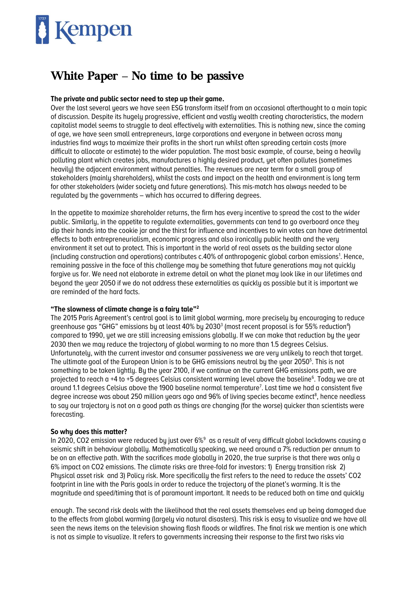# Kempen

# White Paper **–** No time to be passive

# **The private and public sector need to step up their game.**

Over the last several years we have seen ESG transform itself from an occasional afterthought to a main topic of discussion. Despite its hugely progressive, efficient and vastly wealth creating characteristics, the modern capitalist model seems to struggle to deal effectively with externalities. This is nothing new, since the coming of age, we have seen small entrepreneurs, large corporations and everyone in between across many industries find ways to maximize their profits in the short run whilst often spreading certain costs (more difficult to allocate or estimate) to the wider population. The most basic example, of course, being a heavily polluting plant which creates jobs, manufactures a highly desired product, yet often pollutes (sometimes heavily) the adjacent environment without penalties. The revenues are near term for a small group of stakeholders (mainly shareholders), whilst the costs and impact on the health and environment is long term for other stakeholders (wider society and future generations). This mis-match has always needed to be regulated by the governments – which has occurred to differing degrees.

In the appetite to maximize shareholder returns, the firm has every incentive to spread the cost to the wider public. Similarly, in the appetite to regulate externalities, governments can tend to go overboard once they dip their hands into the cookie jar and the thirst for influence and incentives to win votes can have detrimental effects to both entrepreneurialism, economic progress and also ironically public health and the very environment it set out to protect. This is important in the world of real assets as the building sector alone (including construction and operations) contributes c.40% of anthropogenic global carbon emissions<sup>1</sup>. Hence, remaining passive in the face of this challenge may be something that future generations may not quickly forgive us for. We need not elaborate in extreme detail on what the planet may look like in our lifetimes and beyond the year 2050 if we do not address these externalities as quickly as possible but it is important we are reminded of the hard facts.

# **"The slowness of climate change is a fairy tale"<sup>2</sup>**

The 2015 Paris Agreement's central goal is to limit global warming, more precisely by encouraging to reduce greenhouse gas "GHG" emissions by at least 40% by 2030<sup>3</sup> (most recent proposal is for 55% reduction<sup>4</sup>) compared to 1990, yet we are still increasing emissions globally. If we can make that reduction by the year 2030 then we may reduce the trajectory of global warming to no more than 1.5 degrees Celsius. Unfortunately, with the current investor and consumer passiveness we are very unlikely to reach that target. The ultimate goal of the European Union is to be GHG emissions neutral by the year 2050<sup>5</sup>. This is not something to be taken lightly. By the year 2100, if we continue on the current GHG emissions path, we are projected to reach a +4 to +5 degrees Celsius consistent warming level above the baseline<sup>6</sup>. Today we are at around 1.1 degrees Celsius above the 1900 baseline normal temperature<sup>7</sup>. Last time we had a consistent five degree increase was about 250 million years ago and 96% of living species became extinct<sup>8</sup>, hence needless to say our trajectory is not on a good path as things are changing (for the worse) quicker than scientists were forecasting.

# **So why does this matter?**

In 2020, CO2 emission were reduced by just over  $6\%$ <sup>9</sup> as a result of very difficult global lockdowns causing a seismic shift in behaviour globally. Mathematically speaking, we need around a 7% reduction per annum to be on an effective path. With the sacrifices made globally in 2020, the true surprise is that there was only a 6% impact on CO2 emissions. The climate risks are three-fold for investors: 1) Energy transition risk 2) Physical asset risk and 3) Policy risk. More specifically the first refers to the need to reduce the assets' CO2 footprint in line with the Paris goals in order to reduce the trajectory of the planet's warming. It is the magnitude and speed/timing that is of paramount important. It needs to be reduced both on time and quickly

enough. The second risk deals with the likelihood that the real assets themselves end up being damaged due to the effects from global warming (largely via natural disasters). This risk is easy to visualize and we have all seen the news items on the television showing flash floods or wildfires. The final risk we mention is one which is not as simple to visualize. It refers to governments increasing their response to the first two risks via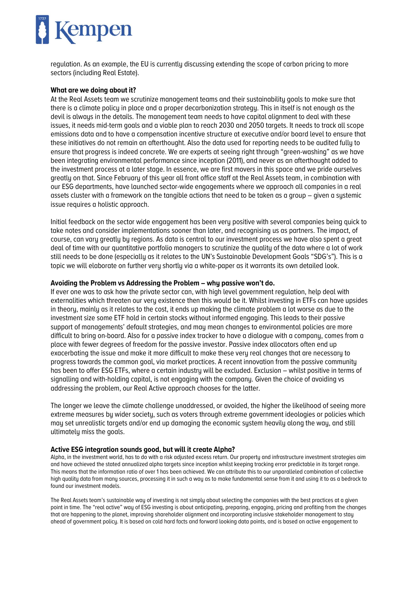

regulation. As an example, the EU is currently discussing extending the scope of carbon pricing to more sectors (including Real Estate).

### **What are we doing about it?**

At the Real Assets team we scrutinize management teams and their sustainability goals to make sure that there is a climate policy in place and a proper decarbonization strategy. This in itself is not enough as the devil is always in the details. The management team needs to have capital alignment to deal with these issues, it needs mid-term goals and a viable plan to reach 2030 and 2050 targets. It needs to track all scope emissions data and to have a compensation incentive structure at executive and/or board level to ensure that these initiatives do not remain an afterthought. Also the data used for reporting needs to be audited fully to ensure that progress is indeed concrete. We are experts at seeing right through "green-washing" as we have been integrating environmental performance since inception (2011), and never as an afterthought added to the investment process at a later stage. In essence, we are first movers in this space and we pride ourselves greatly on that. Since February of this year all front office staff at the Real Assets team, in combination with our ESG departments, have launched sector-wide engagements where we approach all companies in a real assets cluster with a framework on the tangible actions that need to be taken as a group – given a systemic issue requires a holistic approach.

Initial feedback on the sector wide engagement has been very positive with several companies being quick to take notes and consider implementations sooner than later, and recognising us as partners. The impact, of course, can vary greatly by regions. As data is central to our investment process we have also spent a great deal of time with our quantitative portfolio managers to scrutinize the quality of the data where a lot of work still needs to be done (especially as it relates to the UN's Sustainable Development Goals "SDG's"). This is a topic we will elaborate on further very shortly via a white-paper as it warrants its own detailed look.

#### **Avoiding the Problem vs Addressing the Problem – why passive won't do.**

If ever one was to ask how the private sector can, with high level government regulation, help deal with externalities which threaten our very existence then this would be it. Whilst investing in ETFs can have upsides in theory, mainly as it relates to the cost, it ends up making the climate problem a lot worse as due to the investment size some ETF hold in certain stocks without informed engaging. This leads to their passive support of managements' default strategies, and may mean changes to environmental policies are more difficult to bring on-board. Also for a passive index tracker to have a dialogue with a company, comes from a place with fewer degrees of freedom for the passive investor. Passive index allocators often end up exacerbating the issue and make it more difficult to make these very real changes that are necessary to progress towards the common goal, via market practices. A recent innovation from the passive community has been to offer ESG ETFs, where a certain industry will be excluded. Exclusion – whilst positive in terms of signalling and with-holding capital, is not engaging with the company. Given the choice of avoiding vs addressing the problem, our Real Active approach chooses for the latter.

The longer we leave the climate challenge unaddressed, or avoided, the higher the likelihood of seeing more extreme measures by wider society, such as voters through extreme government ideologies or policies which may set unrealistic targets and/or end up damaging the economic system heavily along the way, and still ultimately miss the goals.

#### **Active ESG integration sounds good, but will it create Alpha?**

Alpha, in the investment world, has to do with a risk adjusted excess return. Our property and infrastructure investment strategies aim and have achieved the stated annualized alpha targets since inception whilst keeping tracking error predictable in its target range. This means that the information ratio of over 1 has been achieved. We can attribute this to our unparalleled combination of collective high quality data from many sources, processing it in such a way as to make fundamental sense from it and using it to as a bedrock to found our investment models.

The Real Assets team's sustainable way of investing is not simply about selecting the companies with the best practices at a given point in time. The "real active" way of ESG investing is about anticipating, preparing, engaging, pricing and profiting from the changes that are happening to the planet, improving shareholder alignment and incorporating inclusive stakeholder management to stay ahead of government policy. It is based on cold hard facts and forward looking data points, and is based on active engagement to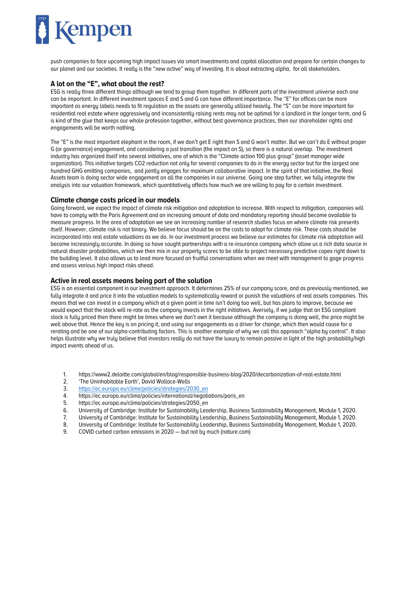

push companies to face upcoming high impact issues via smart investments and capital allocation and prepare for certain changes to our planet and our societies. It really is the "new active" way of investing. It is about extracting alpha, for all stakeholders.

#### **A lot on the "E", what about the rest?**

ESG is really three different things although we tend to group them together. In different parts of the investment universe each one can be important. In different investment spaces E and S and G can have different importance. The "E" for offices can be more important as energy labels needs to fit regulation as the assets are generally utilized heavily. The "S" can be more important for residential real estate where aggressively and inconsistently raising rents may not be optimal for a landlord in the longer term, and G is kind of the glue that keeps our whole profession together, without best governance practices, then our shareholder rights and engagements will be worth nothing.

The "E" is the most important elephant in the room, if we don't get E right then S and G won't matter. But we can't do E without proper G (or governance) engagement, and considering a just transition (the impact on S), so there is a natural overlap. The investment industry has organized itself into several initiatives, one of which is the "Climate action 100 plus group" (asset manager wide organization). This initiative targets CO2 reduction not only for several companies to do in the energy sector but for the largest one hundred GHG emitting companies, and jointly engages for maximum collaborative impact. In the spirit of that initiative, the Real Assets team is doing sector wide engagement on all the companies in our universe. Going one step further, we fully integrate the analysis into our valuation framework, which quantitatively affects how much we are willing to pay for a certain investment.

#### **Climate change costs priced in our models**

Going forward, we expect the impact of climate risk mitigation and adaptation to increase. With respect to mitigation, companies will have to comply with the Paris Agreement and an increasing amount of data and mandatory reporting should become available to measure progress. In the area of adaptation we see an increasing number of research studies focus on where climate risk presents itself. However, climate risk is not binary. We believe focus should be on the costs to adapt for climate risk. These costs should be incorporated into real estate valuations as we do. In our investment process we believe our estimates for climate risk adaptation will become increasingly accurate. In doing so have sought partnerships with a re-insurance company which allow us a rich data source in natural disaster probabilities, which we then mix in our property scores to be able to project necessary predictive capex right down to the building level. It also allows us to lead more focused an fruitful conversations when we meet with management to gage progress and assess various high impact risks ahead.

#### **Active in real assets means being part of the solution**

ESG is an essential component in our investment approach. It determines 25% of our company score, and as previously mentioned, we fully integrate it and price it into the valuation models to systematically reward or punish the valuations of real assets companies. This means that we can invest in a company which at a given point in time isn't doing too well, but has plans to improve, because we would expect that the stock will re-rate as the company invests in the right initiatives. Aversely, if we judge that an ESG compliant stock is fully priced then there might be times where we don't own it because although the company is doing well, the price might be well above that. Hence the key is on pricing it, and using our engagements as a driver for change, which then would cause for a rerating and be one of our alpha-contributing factors. This is another example of why we call this approach "alpha by control". It also helps illustrate why we truly believe that investors really do not have the luxury to remain passive in light of the high probability/high impact events ahead of us.

- 1. https://www2.deloitte.com/global/en/blog/responsible-business-blog/2020/decarbonization-of-real-estate.html
- 2. 'The Uninhabitable Earth', David Wallace-Wells
- 3. [https://ec.europa.eu/clima/policies/strategies/2030\\_en](https://ec.europa.eu/clima/policies/strategies/2030_en)<br>4. https://ec.europa.eu/clima/policies/international/negoti
- 4. https://ec.europa.eu/clima/policies/international/negotiations/paris\_en
- 5. https://ec.europa.eu/clima/policies/strategies/2050\_en
- 6. University of Cambridge: Institute for Sustainability Leadership, Business Sustainability Management, Module 1, 2020.
- 7. University of Cambridge: Institute for Sustainability Leadership, Business Sustainability Management, Module 1, 2020.
- 8. University of Cambridge: Institute for Sustainability Leadership, Business Sustainability Management, Module 1, 2020.
- 9. COVID curbed carbon emissions in 2020 but not by much (nature.com)